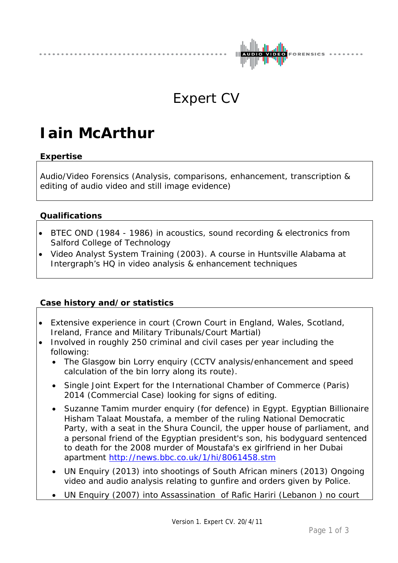

## Expert CV

# **Iain McArthur**

### **Expertise**

Audio/Video Forensics (Analysis, comparisons, enhancement, transcription & editing of audio video and still image evidence)

#### **Qualifications**

- BTEC OND (1984 1986) in acoustics, sound recording & electronics from Salford College of Technology
- Video Analyst System Training (2003). A course in Huntsville Alabama at Intergraph's HQ in video analysis & enhancement techniques

#### **Case history and/or statistics**

- Extensive experience in court (Crown Court in England, Wales, Scotland, Ireland, France and Military Tribunals/Court Martial)
- Involved in roughly 250 criminal and civil cases per year including the following:
	- The Glasgow bin Lorry enquiry (CCTV analysis/enhancement and speed calculation of the bin lorry along its route).
	- Single Joint Expert for the International Chamber of Commerce (Paris) 2014 (Commercial Case) looking for signs of editing.
	- Suzanne Tamim murder enquiry (for defence) in Egypt. Egyptian Billionaire Hisham Talaat Moustafa, a member of the ruling National Democratic Party, with a seat in the Shura Council, the upper house of parliament, and a personal friend of the Egyptian president's son, his bodyguard sentenced to death for the 2008 murder of Moustafa's ex girlfriend in her Dubai apartment<http://news.bbc.co.uk/1/hi/8061458.stm>
	- UN Enquiry (2013) into shootings of South African miners (2013) Ongoing video and audio analysis relating to gunfire and orders given by Police.
	- UN Enquiry (2007) into Assassination of Rafic Hariri (Lebanon ) no court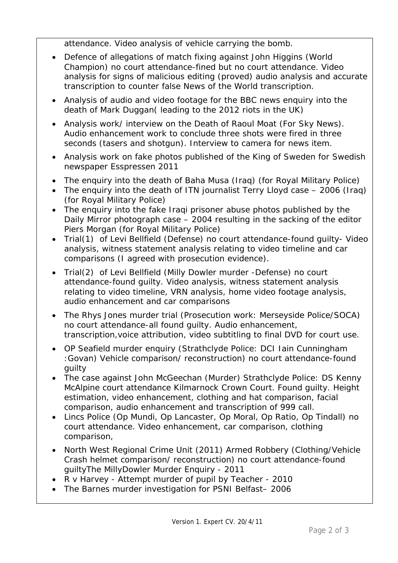attendance. Video analysis of vehicle carrying the bomb.

- Defence of allegations of match fixing against John Higgins (World Champion) no court attendance-fined but no court attendance. Video analysis for signs of malicious editing (proved) audio analysis and accurate transcription to counter false News of the World transcription.
- Analysis of audio and video footage for the BBC news enquiry into the death of Mark Duggan( leading to the 2012 riots in the UK)
- Analysis work/ interview on the Death of Raoul Moat (For Sky News). Audio enhancement work to conclude three shots were fired in three seconds (tasers and shotgun). Interview to camera for news item.
- Analysis work on fake photos published of the King of Sweden for Swedish newspaper Esspressen 2011
- The enquiry into the death of Baha Musa (Iraq) (for Royal Military Police)
- The enquiry into the death of ITN journalist Terry Lloyd case 2006 (Iraq) (for Royal Military Police)
- The enquiry into the fake Iraqi prisoner abuse photos published by the Daily Mirror photograph case – 2004 resulting in the sacking of the editor Piers Morgan (for Royal Military Police)
- Trial(1) of Levi Bellfield (Defense) no court attendance-found guilty- Video analysis, witness statement analysis relating to video timeline and car comparisons (I agreed with prosecution evidence).
- Trial(2) of Levi Bellfield (Milly Dowler murder -Defense) no court attendance-found guilty. Video analysis, witness statement analysis relating to video timeline, VRN analysis, home video footage analysis, audio enhancement and car comparisons
- The Rhys Jones murder trial (Prosecution work: Merseyside Police/SOCA) no court attendance-all found guilty. Audio enhancement, transcription,voice attribution, video subtitling to final DVD for court use.
- OP Seafield murder enquiry (Strathclyde Police: DCI Iain Cunningham :Govan) Vehicle comparison/ reconstruction) no court attendance-found guilty
- The case against John McGeechan (Murder) Strathclyde Police: DS Kenny McAlpine court attendance Kilmarnock Crown Court. Found guilty. Height estimation, video enhancement, clothing and hat comparison, facial comparison, audio enhancement and transcription of 999 call.
- Lincs Police (Op Mundi, Op Lancaster, Op Moral, Op Ratio, Op Tindall) no court attendance. Video enhancement, car comparison, clothing comparison,
- North West Regional Crime Unit (2011) Armed Robbery (Clothing/Vehicle Crash helmet comparison/ reconstruction) no court attendance-found guiltyThe MillyDowler Murder Enquiry - 2011
- R v Harvey Attempt murder of pupil by Teacher 2010
- The Barnes murder investigation for PSNI Belfast– 2006